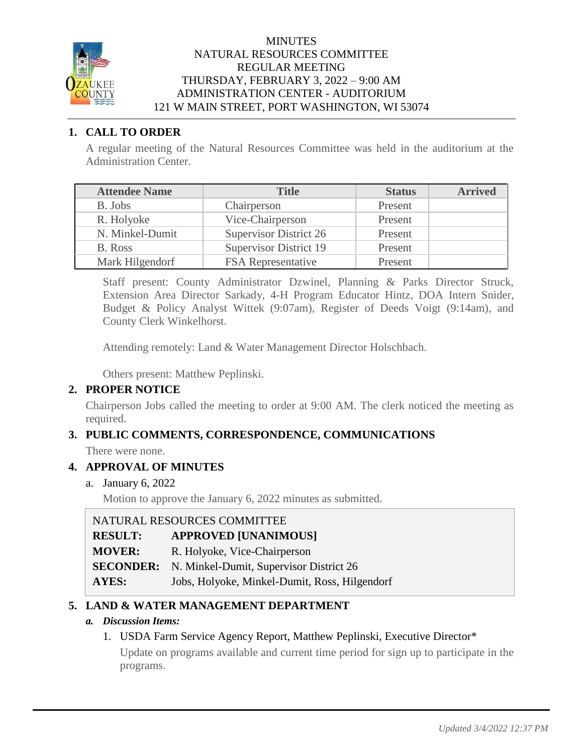

#### **MINUTES** NATURAL RESOURCES COMMITTEE REGULAR MEETING THURSDAY, FEBRUARY 3, 2022 – 9:00 AM ADMINISTRATION CENTER - AUDITORIUM 121 W MAIN STREET, PORT WASHINGTON, WI 53074

# **1. CALL TO ORDER**

A regular meeting of the Natural Resources Committee was held in the auditorium at the Administration Center.

| <b>Attendee Name</b> | <b>Title</b>                  | <b>Status</b> | <b>Arrived</b> |
|----------------------|-------------------------------|---------------|----------------|
| B. Jobs              | Chairperson                   | Present       |                |
| R. Holyoke           | Vice-Chairperson              | Present       |                |
| N. Minkel-Dumit      | <b>Supervisor District 26</b> | Present       |                |
| B. Ross              | <b>Supervisor District 19</b> | Present       |                |
| Mark Hilgendorf      | <b>FSA</b> Representative     | Present       |                |

Staff present: County Administrator Dzwinel, Planning & Parks Director Struck, Extension Area Director Sarkady, 4-H Program Educator Hintz, DOA Intern Snider, Budget & Policy Analyst Wittek (9:07am), Register of Deeds Voigt (9:14am), and County Clerk Winkelhorst.

Attending remotely: Land & Water Management Director Holschbach.

Others present: Matthew Peplinski.

# **2. PROPER NOTICE**

Chairperson Jobs called the meeting to order at 9:00 AM. The clerk noticed the meeting as required.

# **3. PUBLIC COMMENTS, CORRESPONDENCE, COMMUNICATIONS**

There were none.

### **4. APPROVAL OF MINUTES**

a. January 6, 2022

Motion to approve the January 6, 2022 minutes as submitted.

| NATURAL RESOURCES COMMITTEE |                                                          |
|-----------------------------|----------------------------------------------------------|
| <b>RESULT:</b>              | <b>APPROVED [UNANIMOUS]</b>                              |
| <b>MOVER:</b>               | R. Holyoke, Vice-Chairperson                             |
|                             | <b>SECONDER:</b> N. Minkel-Dumit, Supervisor District 26 |
| AYES:                       | Jobs, Holyoke, Minkel-Dumit, Ross, Hilgendorf            |

# **5. LAND & WATER MANAGEMENT DEPARTMENT**

#### *a. Discussion Items:*

1. USDA Farm Service Agency Report, Matthew Peplinski, Executive Director\* Update on programs available and current time period for sign up to participate in the programs.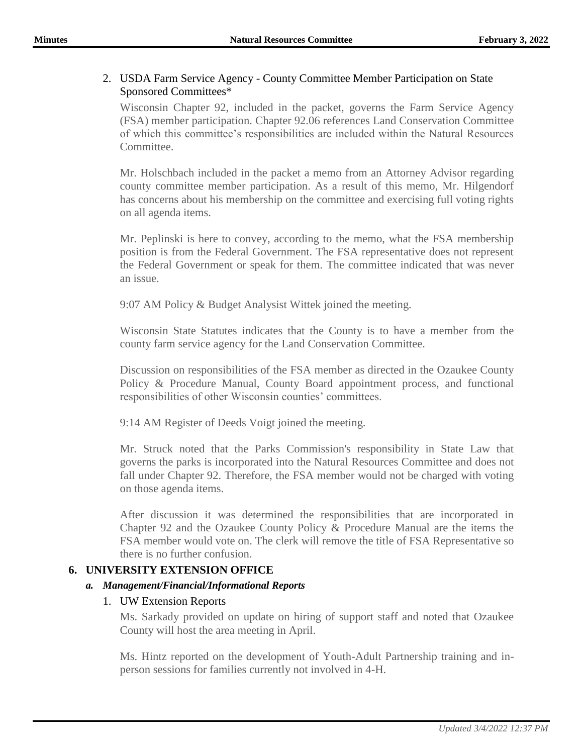#### 2. USDA Farm Service Agency - County Committee Member Participation on State Sponsored Committees\*

Wisconsin Chapter 92, included in the packet, governs the Farm Service Agency (FSA) member participation. Chapter 92.06 references Land Conservation Committee of which this committee's responsibilities are included within the Natural Resources Committee.

Mr. Holschbach included in the packet a memo from an Attorney Advisor regarding county committee member participation. As a result of this memo, Mr. Hilgendorf has concerns about his membership on the committee and exercising full voting rights on all agenda items.

Mr. Peplinski is here to convey, according to the memo, what the FSA membership position is from the Federal Government. The FSA representative does not represent the Federal Government or speak for them. The committee indicated that was never an issue.

9:07 AM Policy & Budget Analysist Wittek joined the meeting.

Wisconsin State Statutes indicates that the County is to have a member from the county farm service agency for the Land Conservation Committee.

Discussion on responsibilities of the FSA member as directed in the Ozaukee County Policy & Procedure Manual, County Board appointment process, and functional responsibilities of other Wisconsin counties' committees.

9:14 AM Register of Deeds Voigt joined the meeting.

Mr. Struck noted that the Parks Commission's responsibility in State Law that governs the parks is incorporated into the Natural Resources Committee and does not fall under Chapter 92. Therefore, the FSA member would not be charged with voting on those agenda items.

After discussion it was determined the responsibilities that are incorporated in Chapter 92 and the Ozaukee County Policy & Procedure Manual are the items the FSA member would vote on. The clerk will remove the title of FSA Representative so there is no further confusion.

### **6. UNIVERSITY EXTENSION OFFICE**

#### *a. Management/Financial/Informational Reports*

### 1. UW Extension Reports

Ms. Sarkady provided on update on hiring of support staff and noted that Ozaukee County will host the area meeting in April.

Ms. Hintz reported on the development of Youth-Adult Partnership training and inperson sessions for families currently not involved in 4-H.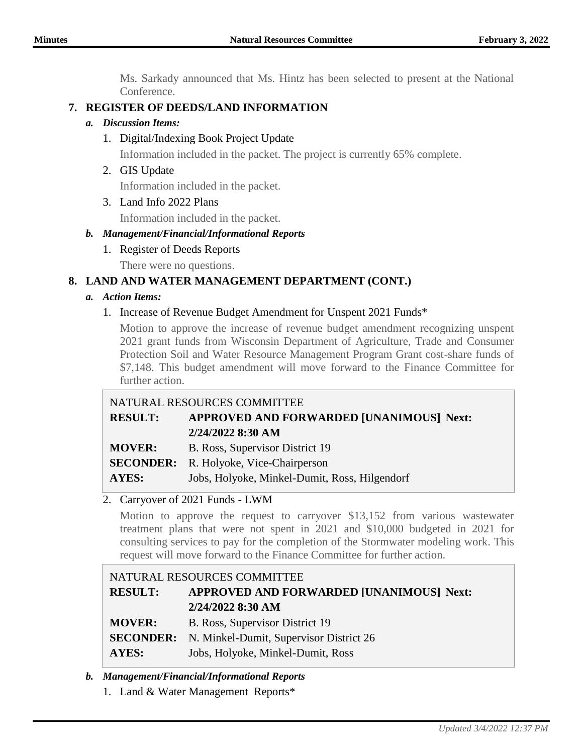Ms. Sarkady announced that Ms. Hintz has been selected to present at the National Conference.

# **7. REGISTER OF DEEDS/LAND INFORMATION**

#### *a. Discussion Items:*

1. Digital/Indexing Book Project Update

Information included in the packet. The project is currently 65% complete.

2. GIS Update

Information included in the packet.

3. Land Info 2022 Plans

Information included in the packet.

# *b. Management/Financial/Informational Reports*

- 1. Register of Deeds Reports
	- There were no questions.

# **8. LAND AND WATER MANAGEMENT DEPARTMENT (CONT.)**

# *a. Action Items:*

1. Increase of Revenue Budget Amendment for Unspent 2021 Funds\*

Motion to approve the increase of revenue budget amendment recognizing unspent 2021 grant funds from Wisconsin Department of Agriculture, Trade and Consumer Protection Soil and Water Resource Management Program Grant cost-share funds of \$7,148. This budget amendment will move forward to the Finance Committee for further action.

# NATURAL RESOURCES COMMITTEE **RESULT: APPROVED AND FORWARDED [UNANIMOUS] Next: 2/24/2022 8:30 AM MOVER:** B. Ross, Supervisor District 19

**SECONDER:** R. Holyoke, Vice-Chairperson

**AYES:** Jobs, Holyoke, Minkel-Dumit, Ross, Hilgendorf

# 2. Carryover of 2021 Funds - LWM

Motion to approve the request to carryover \$13,152 from various wastewater treatment plans that were not spent in 2021 and \$10,000 budgeted in 2021 for consulting services to pay for the completion of the Stormwater modeling work. This request will move forward to the Finance Committee for further action.

# NATURAL RESOURCES COMMITTEE **RESULT: APPROVED AND FORWARDED [UNANIMOUS] Next: 2/24/2022 8:30 AM MOVER:** B. Ross, Supervisor District 19 **SECONDER:** N. Minkel-Dumit, Supervisor District 26

**AYES:** Jobs, Holyoke, Minkel-Dumit, Ross

### *b. Management/Financial/Informational Reports*

1. Land & Water Management Reports\*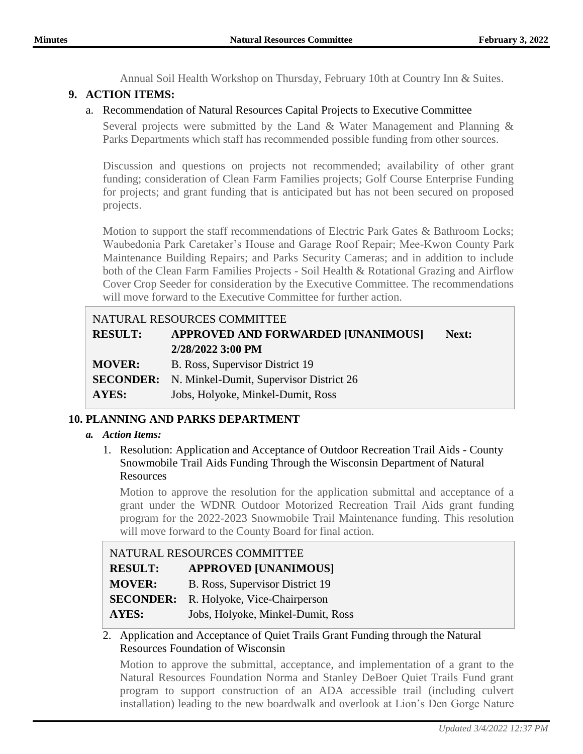Annual Soil Health Workshop on Thursday, February 10th at Country Inn & Suites.

# **9. ACTION ITEMS:**

## a. Recommendation of Natural Resources Capital Projects to Executive Committee

Several projects were submitted by the Land & Water Management and Planning & Parks Departments which staff has recommended possible funding from other sources.

Discussion and questions on projects not recommended; availability of other grant funding; consideration of Clean Farm Families projects; Golf Course Enterprise Funding for projects; and grant funding that is anticipated but has not been secured on proposed projects.

Motion to support the staff recommendations of Electric Park Gates & Bathroom Locks; Waubedonia Park Caretaker's House and Garage Roof Repair; Mee-Kwon County Park Maintenance Building Repairs; and Parks Security Cameras; and in addition to include both of the Clean Farm Families Projects - Soil Health & Rotational Grazing and Airflow Cover Crop Seeder for consideration by the Executive Committee. The recommendations will move forward to the Executive Committee for further action.

# NATURAL RESOURCES COMMITTEE **RESULT: APPROVED AND FORWARDED [UNANIMOUS] Next: 2/28/2022 3:00 PM MOVER:** B. Ross, Supervisor District 19 **SECONDER:** N. Minkel-Dumit, Supervisor District 26 **AYES:** Jobs, Holyoke, Minkel-Dumit, Ross

# **10. PLANNING AND PARKS DEPARTMENT**

### *a. Action Items:*

1. Resolution: Application and Acceptance of Outdoor Recreation Trail Aids - County Snowmobile Trail Aids Funding Through the Wisconsin Department of Natural Resources

Motion to approve the resolution for the application submittal and acceptance of a grant under the WDNR Outdoor Motorized Recreation Trail Aids grant funding program for the 2022-2023 Snowmobile Trail Maintenance funding. This resolution will move forward to the County Board for final action.

| NATURAL RESOURCES COMMITTEE |                                   |
|-----------------------------|-----------------------------------|
| <b>RESULT:</b>              | <b>APPROVED [UNANIMOUS]</b>       |
| <b>MOVER:</b>               | B. Ross, Supervisor District 19   |
| <b>SECONDER:</b>            | R. Holyoke, Vice-Chairperson      |
| AYES:                       | Jobs, Holyoke, Minkel-Dumit, Ross |

### 2. Application and Acceptance of Quiet Trails Grant Funding through the Natural Resources Foundation of Wisconsin

Motion to approve the submittal, acceptance, and implementation of a grant to the Natural Resources Foundation Norma and Stanley DeBoer Quiet Trails Fund grant program to support construction of an ADA accessible trail (including culvert installation) leading to the new boardwalk and overlook at Lion's Den Gorge Nature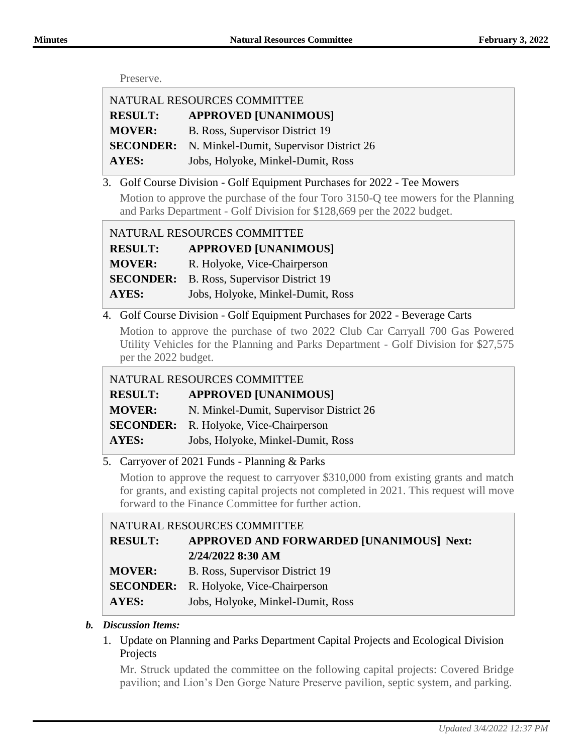#### Preserve.

| NATURAL RESOURCES COMMITTEE |                                                          |
|-----------------------------|----------------------------------------------------------|
| <b>RESULT:</b>              | <b>APPROVED [UNANIMOUS]</b>                              |
| <b>MOVER:</b>               | B. Ross, Supervisor District 19                          |
|                             | <b>SECONDER:</b> N. Minkel-Dumit, Supervisor District 26 |
| <b>AYES:</b>                | Jobs, Holyoke, Minkel-Dumit, Ross                        |

3. Golf Course Division - Golf Equipment Purchases for 2022 - Tee Mowers

Motion to approve the purchase of the four Toro 3150-Q tee mowers for the Planning and Parks Department - Golf Division for \$128,669 per the 2022 budget.

| NATURAL RESOURCES COMMITTEE |                                   |
|-----------------------------|-----------------------------------|
| <b>RESULT:</b>              | <b>APPROVED [UNANIMOUS]</b>       |
| <b>MOVER:</b>               | R. Holyoke, Vice-Chairperson      |
| <b>SECONDER:</b>            | B. Ross, Supervisor District 19   |
| AYES:                       | Jobs, Holyoke, Minkel-Dumit, Ross |

4. Golf Course Division - Golf Equipment Purchases for 2022 - Beverage Carts

Motion to approve the purchase of two 2022 Club Car Carryall 700 Gas Powered Utility Vehicles for the Planning and Parks Department - Golf Division for \$27,575 per the 2022 budget.

NATURAL RESOURCES COMMITTEE

| <b>RESULT:</b> | <b>APPROVED [UNANIMOUS]</b>             |
|----------------|-----------------------------------------|
| <b>MOVER:</b>  | N. Minkel-Dumit, Supervisor District 26 |

**SECONDER:** R. Holyoke, Vice-Chairperson

**AYES:** Jobs, Holyoke, Minkel-Dumit, Ross

5. Carryover of 2021 Funds - Planning & Parks

Motion to approve the request to carryover \$310,000 from existing grants and match for grants, and existing capital projects not completed in 2021. This request will move forward to the Finance Committee for further action.

| NATURAL RESOURCES COMMITTEE |                                               |
|-----------------------------|-----------------------------------------------|
| <b>RESULT:</b>              | APPROVED AND FORWARDED [UNANIMOUS] Next:      |
|                             | 2/24/2022 8:30 AM                             |
| <b>MOVER:</b>               | B. Ross, Supervisor District 19               |
|                             | <b>SECONDER:</b> R. Holyoke, Vice-Chairperson |
| <b>AYES:</b>                | Jobs, Holyoke, Minkel-Dumit, Ross             |

#### *b. Discussion Items:*

1. Update on Planning and Parks Department Capital Projects and Ecological Division Projects

Mr. Struck updated the committee on the following capital projects: Covered Bridge pavilion; and Lion's Den Gorge Nature Preserve pavilion, septic system, and parking.